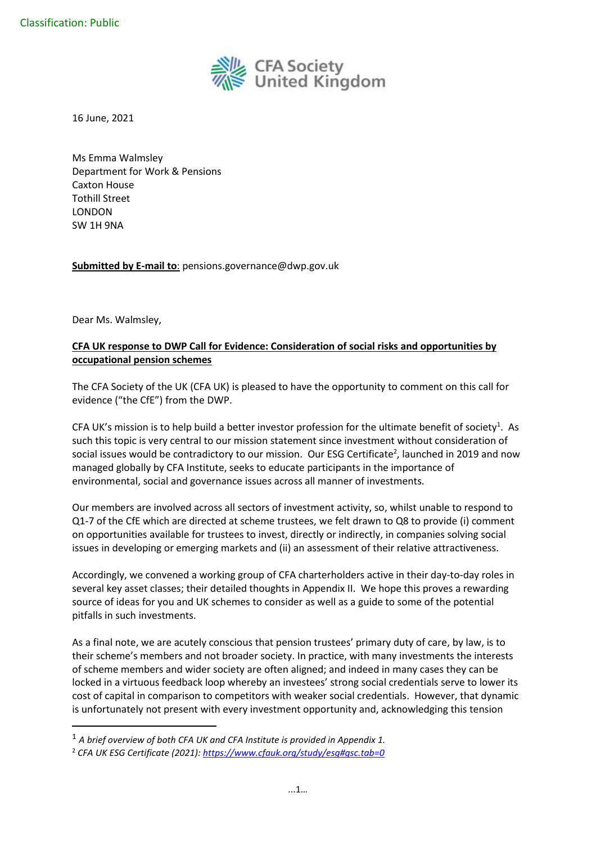

16 June, 2021

Ms Emma Walmsley Department for Work & Pensions Caxton House Tothill Street LONDON SW 1H 9NA

**Submitted by E-mail to**: pensions.governance@dwp.gov.uk

Dear Ms. Walmsley,

# **CFA UK response to DWP Call for Evidence: Consideration of social risks and opportunities by occupational pension schemes**

The CFA Society of the UK (CFA UK) is pleased to have the opportunity to comment on this call for evidence ("the CfE") from the DWP.

CFA UK's mission is to help build a better investor profession for the ultimate benefit of society<sup>1</sup>. As such this topic is very central to our mission statement since investment without consideration of social issues would be contradictory to our mission. Our ESG Certificate<sup>2</sup>, launched in 2019 and now managed globally by CFA Institute, seeks to educate participants in the importance of environmental, social and governance issues across all manner of investments.

Our members are involved across all sectors of investment activity, so, whilst unable to respond to Q1-7 of the CfE which are directed at scheme trustees, we felt drawn to Q8 to provide (i) comment on opportunities available for trustees to invest, directly or indirectly, in companies solving social issues in developing or emerging markets and (ii) an assessment of their relative attractiveness.

Accordingly, we convened a working group of CFA charterholders active in their day-to-day roles in several key asset classes; their detailed thoughts in Appendix II. We hope this proves a rewarding source of ideas for you and UK schemes to consider as well as a guide to some of the potential pitfalls in such investments.

As a final note, we are acutely conscious that pension trustees' primary duty of care, by law, is to their scheme's members and not broader society. In practice, with many investments the interests of scheme members and wider society are often aligned; and indeed in many cases they can be locked in a virtuous feedback loop whereby an investees' strong social credentials serve to lower its cost of capital in comparison to competitors with weaker social credentials. However, that dynamic is unfortunately not present with every investment opportunity and, acknowledging this tension

<sup>1</sup> *A brief overview of both CFA UK and CFA Institute is provided in Appendix 1.*

<sup>2</sup> *CFA UK ESG Certificate (2021)[: https://www.cfauk.org/study/esg#gsc.tab=0](about:blank)*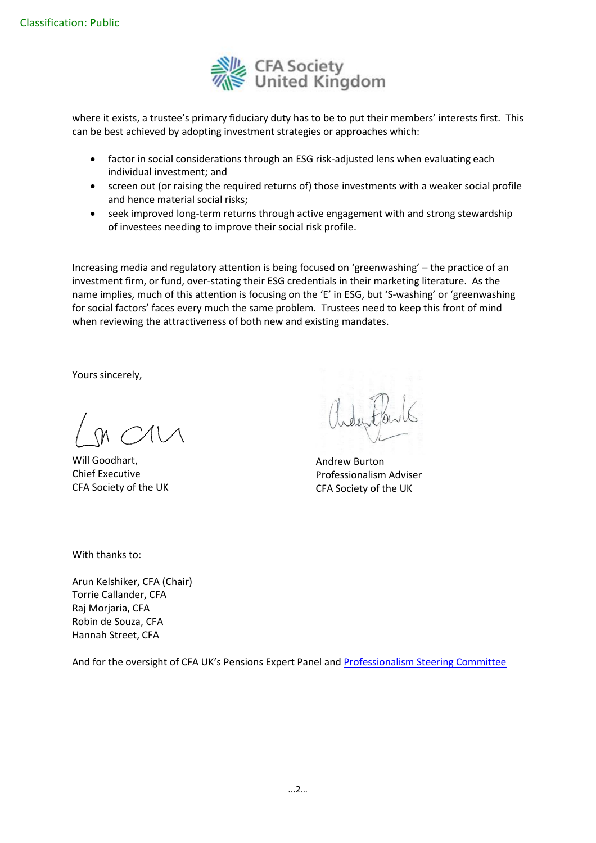

where it exists, a trustee's primary fiduciary duty has to be to put their members' interests first. This can be best achieved by adopting investment strategies or approaches which:

- factor in social considerations through an ESG risk-adjusted lens when evaluating each individual investment; and
- screen out (or raising the required returns of) those investments with a weaker social profile and hence material social risks;
- seek improved long-term returns through active engagement with and strong stewardship of investees needing to improve their social risk profile.

Increasing media and regulatory attention is being focused on 'greenwashing' – the practice of an investment firm, or fund, over-stating their ESG credentials in their marketing literature. As the name implies, much of this attention is focusing on the 'E' in ESG, but 'S-washing' or 'greenwashing for social factors' faces every much the same problem. Trustees need to keep this front of mind when reviewing the attractiveness of both new and existing mandates.

Yours sincerely,

Will Goodhart, Chief Executive CFA Society of the UK

Andrew Burton Professionalism Adviser CFA Society of the UK

With thanks to:

Arun Kelshiker, CFA (Chair) Torrie Callander, CFA Raj Morjaria, CFA Robin de Souza, CFA Hannah Street, CFA

And for the oversight of CFA UK's Pensions Expert Panel and [Professionalism Steering Committee](about:blank#gsc.tab=0)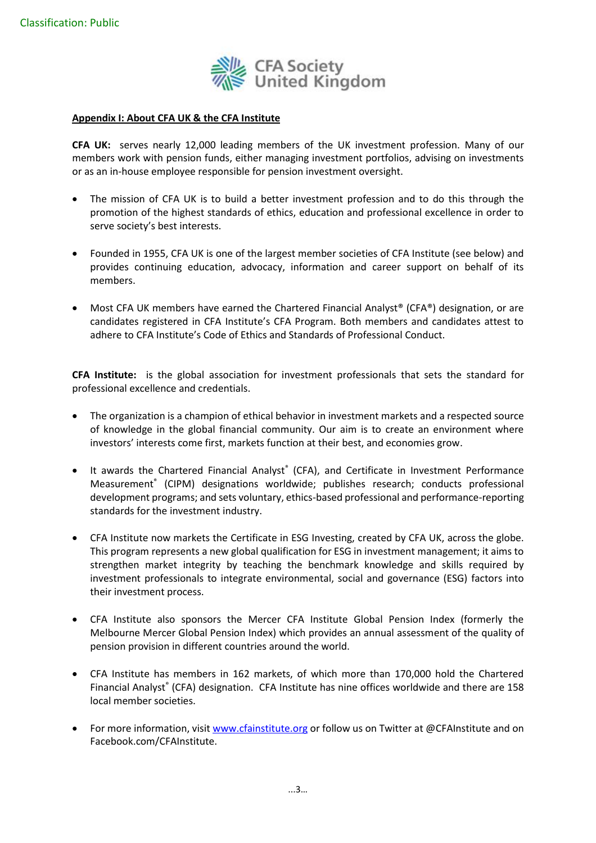

#### **Appendix I: About CFA UK & the CFA Institute**

**CFA UK:** serves nearly 12,000 leading members of the UK investment profession. Many of our members work with pension funds, either managing investment portfolios, advising on investments or as an in-house employee responsible for pension investment oversight.

- The mission of CFA UK is to build a better investment profession and to do this through the promotion of the highest standards of ethics, education and professional excellence in order to serve society's best interests.
- Founded in 1955, CFA UK is one of the largest member societies of CFA Institute (see below) and provides continuing education, advocacy, information and career support on behalf of its members.
- Most CFA UK members have earned the Chartered Financial Analyst® (CFA®) designation, or are candidates registered in CFA Institute's CFA Program. Both members and candidates attest to adhere to CFA Institute's Code of Ethics and Standards of Professional Conduct.

**CFA Institute:** is the global association for investment professionals that sets the standard for professional excellence and credentials.

- The organization is a champion of ethical behavior in investment markets and a respected source of knowledge in the global financial community. Our aim is to create an environment where investors' interests come first, markets function at their best, and economies grow.
- It awards the Chartered Financial Analyst<sup>®</sup> (CFA), and Certificate in Investment Performance Measurement® (CIPM) designations worldwide; publishes research; conducts professional development programs; and sets voluntary, ethics-based professional and performance-reporting standards for the investment industry.
- CFA Institute now markets the Certificate in ESG Investing, created by CFA UK, across the globe. This program represents a new global qualification for ESG in investment management; it aims to strengthen market integrity by teaching the benchmark knowledge and skills required by investment professionals to integrate environmental, social and governance (ESG) factors into their investment process.
- CFA Institute also sponsors the Mercer CFA Institute Global Pension Index (formerly the Melbourne Mercer Global Pension Index) which provides an annual assessment of the quality of pension provision in different countries around the world.
- CFA Institute has members in 162 markets, of which more than 170,000 hold the Chartered Financial Analyst® (CFA) designation. CFA Institute has nine offices worldwide and there are 158 local member societies.
- For more information, visit www.cfainstitute.org or follow us on Twitter at @CFAInstitute and on Facebook.com/CFAInstitute.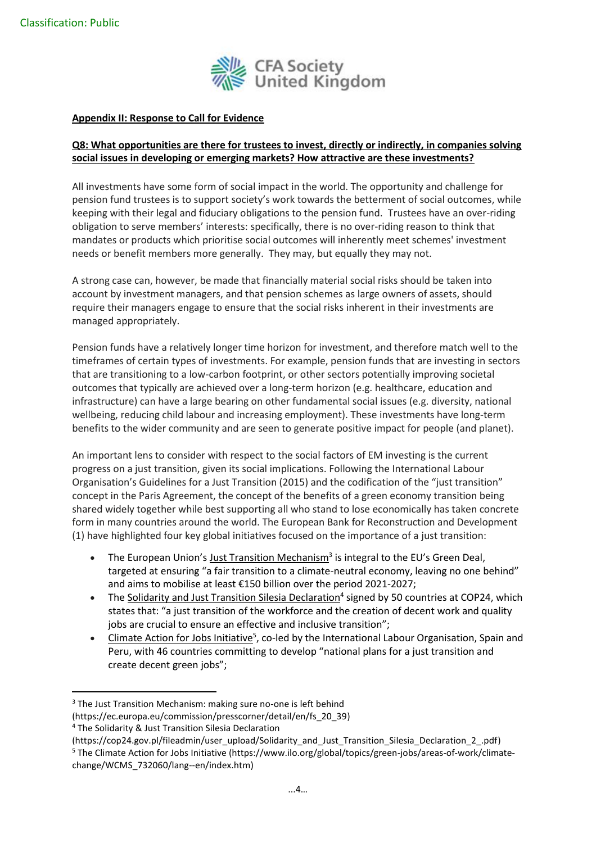

#### **Appendix II: Response to Call for Evidence**

## **Q8: What opportunities are there for trustees to invest, directly or indirectly, in companies solving social issues in developing or emerging markets? How attractive are these investments?**

All investments have some form of social impact in the world. The opportunity and challenge for pension fund trustees is to support society's work towards the betterment of social outcomes, while keeping with their legal and fiduciary obligations to the pension fund. Trustees have an over-riding obligation to serve members' interests: specifically, there is no over-riding reason to think that mandates or products which prioritise social outcomes will inherently meet schemes' investment needs or benefit members more generally. They may, but equally they may not.

A strong case can, however, be made that financially material social risks should be taken into account by investment managers, and that pension schemes as large owners of assets, should require their managers engage to ensure that the social risks inherent in their investments are managed appropriately.

Pension funds have a relatively longer time horizon for investment, and therefore match well to the timeframes of certain types of investments. For example, pension funds that are investing in sectors that are transitioning to a low-carbon footprint, or other sectors potentially improving societal outcomes that typically are achieved over a long-term horizon (e.g. healthcare, education and infrastructure) can have a large bearing on other fundamental social issues (e.g. diversity, national wellbeing, reducing child labour and increasing employment). These investments have long-term benefits to the wider community and are seen to generate positive impact for people (and planet).

An important lens to consider with respect to the social factors of EM investing is the current progress on a just transition, given its social implications. Following the International Labour Organisation's Guidelines for a Just Transition (2015) and the codification of the "just transition" concept in the Paris Agreement, the concept of the benefits of a green economy transition being shared widely together while best supporting all who stand to lose economically has taken concrete form in many countries around the world. The European Bank for Reconstruction and Development (1) have highlighted four key global initiatives focused on the importance of a just transition:

- The European Union's **Just Transition [Mechanism](https://ec.europa.eu/commission/presscorner/detail/en/fs_20_39)**<sup>3</sup> is integral to the EU's Green Deal, targeted at ensuring "a fair transition to a climate-neutral economy, leaving no one behind" and aims to mobilise at least €150 billion over the period 2021-2027;
- The Solidarity and Just Transition Silesia [Declaration](https://cop24.gov.pl/fileadmin/user_upload/Solidarity_and_Just_Transition_Silesia_Declaration_2_.pdf)<sup>4</sup> signed by 50 countries at COP24, which states that: "a just transition of the workforce and the creation of decent work and quality jobs are crucial to ensure an effective and inclusive transition";
- Climate Action for Jobs [Initiative](https://www.ilo.org/global/topics/green-jobs/areas-of-work/climate-change/WCMS_732060/lang--en/index.htm)<sup>5</sup>, co-led by the International Labour Organisation, Spain and Peru, with 46 countries committing to develop "national plans for a just transition and create decent green jobs";

<sup>&</sup>lt;sup>3</sup> The Just Transition Mechanism: making sure no-one is left behind

<sup>(</sup>https://ec.europa.eu/commission/presscorner/detail/en/fs\_20\_39)

<sup>4</sup> The Solidarity & Just Transition Silesia Declaration

<sup>(</sup>https://cop24.gov.pl/fileadmin/user\_upload/Solidarity\_and\_Just\_Transition\_Silesia\_Declaration\_2\_.pdf) <sup>5</sup> The Climate Action for Jobs Initiative (https://www.ilo.org/global/topics/green-jobs/areas-of-work/climatechange/WCMS\_732060/lang--en/index.htm)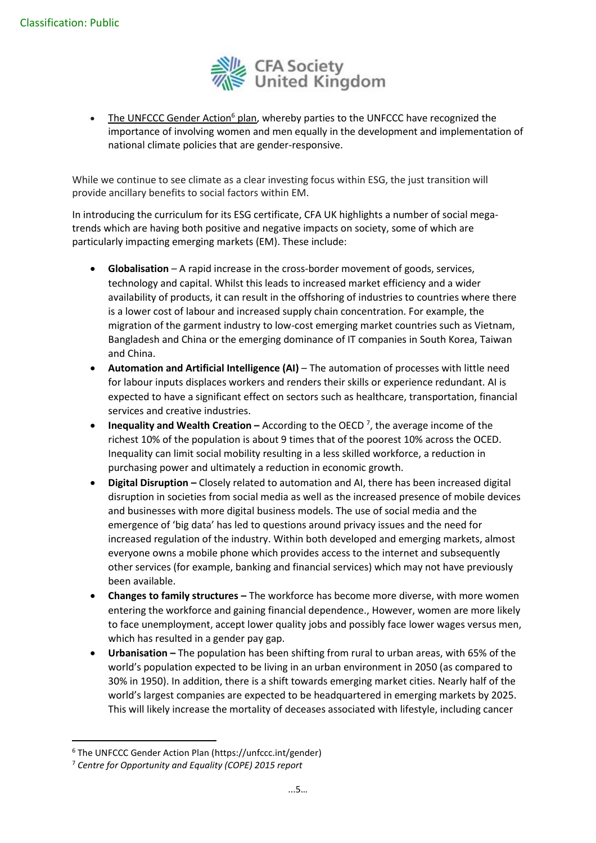

• The [UNFCCC](https://unfccc.int/gender) Gender Action<sup>6</sup> plan, whereby parties to the UNFCCC have recognized the importance of involving women and men equally in the development and implementation of national climate policies that are gender-responsive.

While we continue to see climate as a clear investing focus within ESG, the just transition will provide ancillary benefits to social factors within EM.

In introducing the curriculum for its ESG certificate, CFA UK highlights a number of social megatrends which are having both positive and negative impacts on society, some of which are particularly impacting emerging markets (EM). These include:

- **Globalisation** A rapid increase in the cross-border movement of goods, services, technology and capital. Whilst this leads to increased market efficiency and a wider availability of products, it can result in the offshoring of industries to countries where there is a lower cost of labour and increased supply chain concentration. For example, the migration of the garment industry to low-cost emerging market countries such as Vietnam, Bangladesh and China or the emerging dominance of IT companies in South Korea, Taiwan and China.
- **Automation and Artificial Intelligence (AI)** The automation of processes with little need for labour inputs displaces workers and renders their skills or experience redundant. AI is expected to have a significant effect on sectors such as healthcare, transportation, financial services and creative industries.
- **Inequality and Wealth Creation –** According to the OECD<sup>7</sup>, the average income of the richest 10% of the population is about 9 times that of the poorest 10% across the OCED. Inequality can limit social mobility resulting in a less skilled workforce, a reduction in purchasing power and ultimately a reduction in economic growth.
- **Digital Disruption –** Closely related to automation and AI, there has been increased digital disruption in societies from social media as well as the increased presence of mobile devices and businesses with more digital business models. The use of social media and the emergence of 'big data' has led to questions around privacy issues and the need for increased regulation of the industry. Within both developed and emerging markets, almost everyone owns a mobile phone which provides access to the internet and subsequently other services (for example, banking and financial services) which may not have previously been available.
- **Changes to family structures –** The workforce has become more diverse, with more women entering the workforce and gaining financial dependence., However, women are more likely to face unemployment, accept lower quality jobs and possibly face lower wages versus men, which has resulted in a gender pay gap.
- **Urbanisation –** The population has been shifting from rural to urban areas, with 65% of the world's population expected to be living in an urban environment in 2050 (as compared to 30% in 1950). In addition, there is a shift towards emerging market cities. Nearly half of the world's largest companies are expected to be headquartered in emerging markets by 2025. This will likely increase the mortality of deceases associated with lifestyle, including cancer

<sup>6</sup> The UNFCCC Gender Action Plan (https://unfccc.int/gender)

<sup>7</sup> *Centre for Opportunity and Equality (COPE) 2015 report*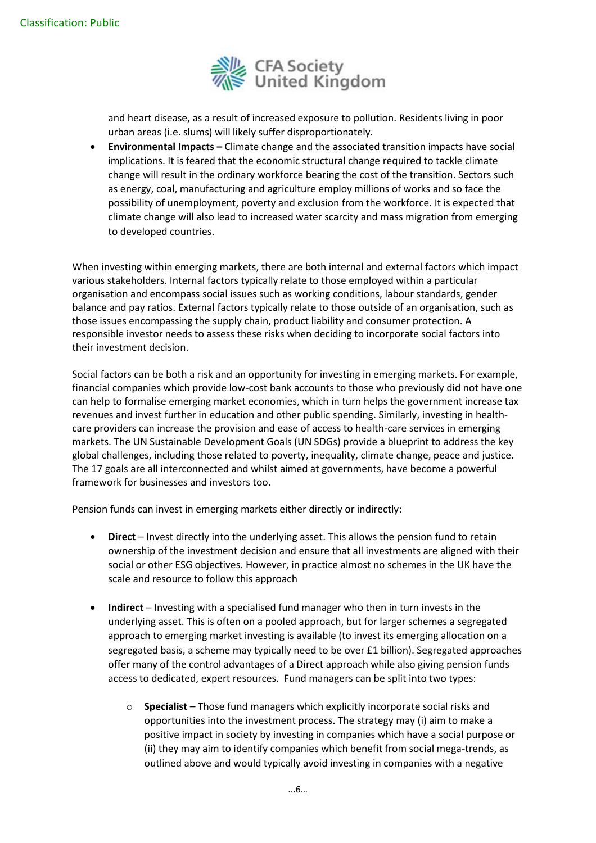

and heart disease, as a result of increased exposure to pollution. Residents living in poor urban areas (i.e. slums) will likely suffer disproportionately.

• **Environmental Impacts –** Climate change and the associated transition impacts have social implications. It is feared that the economic structural change required to tackle climate change will result in the ordinary workforce bearing the cost of the transition. Sectors such as energy, coal, manufacturing and agriculture employ millions of works and so face the possibility of unemployment, poverty and exclusion from the workforce. It is expected that climate change will also lead to increased water scarcity and mass migration from emerging to developed countries.

When investing within emerging markets, there are both internal and external factors which impact various stakeholders. Internal factors typically relate to those employed within a particular organisation and encompass social issues such as working conditions, labour standards, gender balance and pay ratios. External factors typically relate to those outside of an organisation, such as those issues encompassing the supply chain, product liability and consumer protection. A responsible investor needs to assess these risks when deciding to incorporate social factors into their investment decision.

Social factors can be both a risk and an opportunity for investing in emerging markets. For example, financial companies which provide low-cost bank accounts to those who previously did not have one can help to formalise emerging market economies, which in turn helps the government increase tax revenues and invest further in education and other public spending. Similarly, investing in healthcare providers can increase the provision and ease of access to health-care services in emerging markets. The UN Sustainable Development Goals (UN SDGs) provide a blueprint to address the key global challenges, including those related to poverty, inequality, climate change, peace and justice. The 17 goals are all interconnected and whilst aimed at governments, have become a powerful framework for businesses and investors too.

Pension funds can invest in emerging markets either directly or indirectly:

- **Direct** Invest directly into the underlying asset. This allows the pension fund to retain ownership of the investment decision and ensure that all investments are aligned with their social or other ESG objectives. However, in practice almost no schemes in the UK have the scale and resource to follow this approach
- **Indirect** Investing with a specialised fund manager who then in turn invests in the underlying asset. This is often on a pooled approach, but for larger schemes a segregated approach to emerging market investing is available (to invest its emerging allocation on a segregated basis, a scheme may typically need to be over £1 billion). Segregated approaches offer many of the control advantages of a Direct approach while also giving pension funds access to dedicated, expert resources. Fund managers can be split into two types:
	- o **Specialist** Those fund managers which explicitly incorporate social risks and opportunities into the investment process. The strategy may (i) aim to make a positive impact in society by investing in companies which have a social purpose or (ii) they may aim to identify companies which benefit from social mega-trends, as outlined above and would typically avoid investing in companies with a negative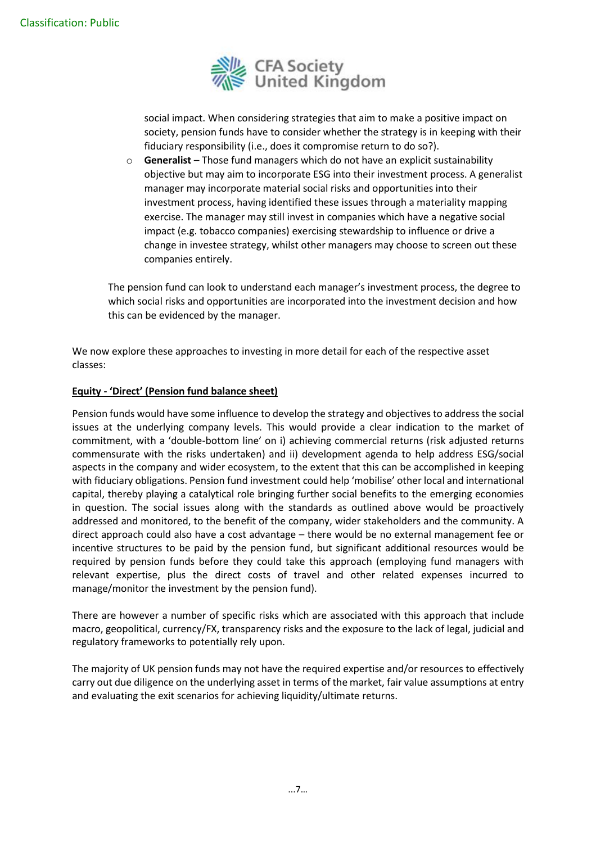

social impact. When considering strategies that aim to make a positive impact on society, pension funds have to consider whether the strategy is in keeping with their fiduciary responsibility (i.e., does it compromise return to do so?).

o **Generalist** – Those fund managers which do not have an explicit sustainability objective but may aim to incorporate ESG into their investment process. A generalist manager may incorporate material social risks and opportunities into their investment process, having identified these issues through a materiality mapping exercise. The manager may still invest in companies which have a negative social impact (e.g. tobacco companies) exercising stewardship to influence or drive a change in investee strategy, whilst other managers may choose to screen out these companies entirely.

The pension fund can look to understand each manager's investment process, the degree to which social risks and opportunities are incorporated into the investment decision and how this can be evidenced by the manager.

We now explore these approaches to investing in more detail for each of the respective asset classes:

## **Equity - 'Direct' (Pension fund balance sheet)**

Pension funds would have some influence to develop the strategy and objectives to address the social issues at the underlying company levels. This would provide a clear indication to the market of commitment, with a 'double-bottom line' on i) achieving commercial returns (risk adjusted returns commensurate with the risks undertaken) and ii) development agenda to help address ESG/social aspects in the company and wider ecosystem, to the extent that this can be accomplished in keeping with fiduciary obligations. Pension fund investment could help 'mobilise' other local and international capital, thereby playing a catalytical role bringing further social benefits to the emerging economies in question. The social issues along with the standards as outlined above would be proactively addressed and monitored, to the benefit of the company, wider stakeholders and the community. A direct approach could also have a cost advantage – there would be no external management fee or incentive structures to be paid by the pension fund, but significant additional resources would be required by pension funds before they could take this approach (employing fund managers with relevant expertise, plus the direct costs of travel and other related expenses incurred to manage/monitor the investment by the pension fund).

There are however a number of specific risks which are associated with this approach that include macro, geopolitical, currency/FX, transparency risks and the exposure to the lack of legal, judicial and regulatory frameworks to potentially rely upon.

The majority of UK pension funds may not have the required expertise and/or resources to effectively carry out due diligence on the underlying asset in terms of the market, fair value assumptions at entry and evaluating the exit scenarios for achieving liquidity/ultimate returns.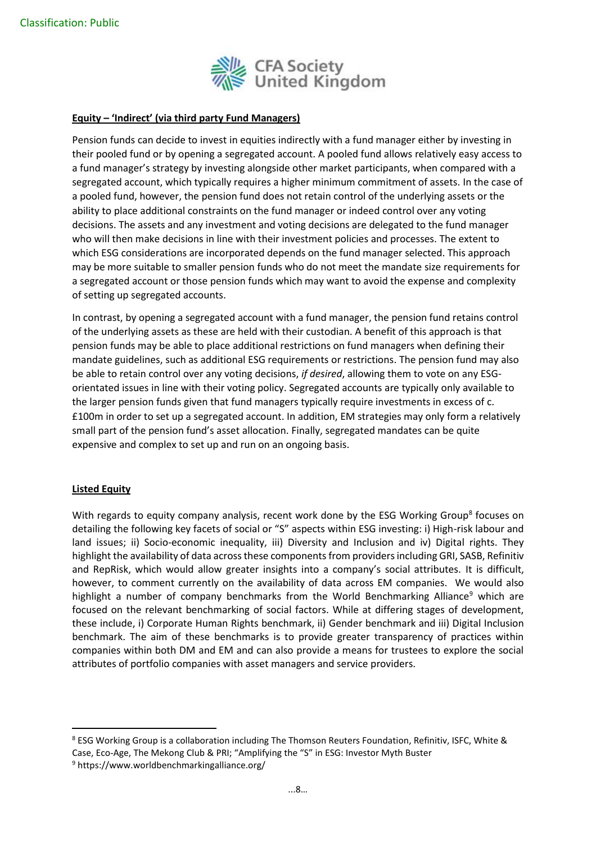

## **Equity – 'Indirect' (via third party Fund Managers)**

Pension funds can decide to invest in equities indirectly with a fund manager either by investing in their pooled fund or by opening a segregated account. A pooled fund allows relatively easy access to a fund manager's strategy by investing alongside other market participants, when compared with a segregated account, which typically requires a higher minimum commitment of assets. In the case of a pooled fund, however, the pension fund does not retain control of the underlying assets or the ability to place additional constraints on the fund manager or indeed control over any voting decisions. The assets and any investment and voting decisions are delegated to the fund manager who will then make decisions in line with their investment policies and processes. The extent to which ESG considerations are incorporated depends on the fund manager selected. This approach may be more suitable to smaller pension funds who do not meet the mandate size requirements for a segregated account or those pension funds which may want to avoid the expense and complexity of setting up segregated accounts.

In contrast, by opening a segregated account with a fund manager, the pension fund retains control of the underlying assets as these are held with their custodian. A benefit of this approach is that pension funds may be able to place additional restrictions on fund managers when defining their mandate guidelines, such as additional ESG requirements or restrictions. The pension fund may also be able to retain control over any voting decisions, *if desired*, allowing them to vote on any ESGorientated issues in line with their voting policy. Segregated accounts are typically only available to the larger pension funds given that fund managers typically require investments in excess of c. £100m in order to set up a segregated account. In addition, EM strategies may only form a relatively small part of the pension fund's asset allocation. Finally, segregated mandates can be quite expensive and complex to set up and run on an ongoing basis.

#### **Listed Equity**

With regards to equity company analysis, recent work done by the ESG Working Group<sup>8</sup> focuses on detailing the following key facets of social or "S" aspects within ESG investing: i) High-risk labour and land issues; ii) Socio-economic inequality, iii) Diversity and Inclusion and iv) Digital rights. They highlight the availability of data across these components from providers including GRI, SASB, Refinitiv and RepRisk, which would allow greater insights into a company's social attributes. It is difficult, however, to comment currently on the availability of data across EM companies. We would also highlight a number of company benchmarks from the World Benchmarking Alliance<sup>9</sup> which are focused on the relevant benchmarking of social factors. While at differing stages of development, these include, i) Corporate Human Rights benchmark, ii) Gender benchmark and iii) Digital Inclusion benchmark. The aim of these benchmarks is to provide greater transparency of practices within companies within both DM and EM and can also provide a means for trustees to explore the social attributes of portfolio companies with asset managers and service providers.

<sup>8</sup> ESG Working Group is a collaboration including The Thomson Reuters Foundation, Refinitiv, ISFC, White & Case, Eco-Age, The Mekong Club & PRI; "Amplifying the "S" in ESG: Investor Myth Buster

<sup>9</sup> https://www.worldbenchmarkingalliance.org/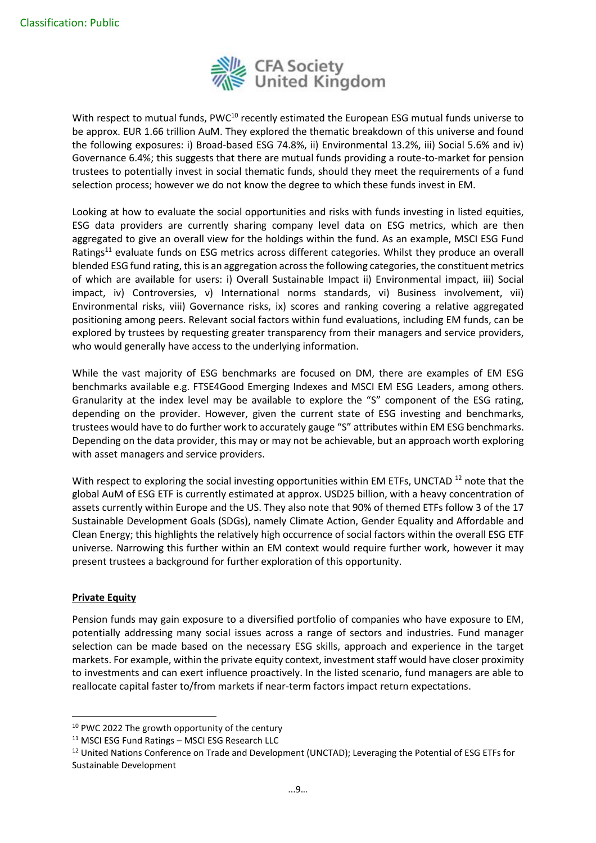

With respect to mutual funds, PWC<sup>10</sup> recently estimated the European ESG mutual funds universe to be approx. EUR 1.66 trillion AuM. They explored the thematic breakdown of this universe and found the following exposures: i) Broad-based ESG 74.8%, ii) Environmental 13.2%, iii) Social 5.6% and iv) Governance 6.4%; this suggests that there are mutual funds providing a route-to-market for pension trustees to potentially invest in social thematic funds, should they meet the requirements of a fund selection process; however we do not know the degree to which these funds invest in EM.

Looking at how to evaluate the social opportunities and risks with funds investing in listed equities, ESG data providers are currently sharing company level data on ESG metrics, which are then aggregated to give an overall view for the holdings within the fund. As an example, MSCI ESG Fund Ratings<sup>11</sup> evaluate funds on ESG metrics across different categories. Whilst they produce an overall blended ESG fund rating, this is an aggregation across the following categories, the constituent metrics of which are available for users: i) Overall Sustainable Impact ii) Environmental impact, iii) Social impact, iv) Controversies, v) International norms standards, vi) Business involvement, vii) Environmental risks, viii) Governance risks, ix) scores and ranking covering a relative aggregated positioning among peers. Relevant social factors within fund evaluations, including EM funds, can be explored by trustees by requesting greater transparency from their managers and service providers, who would generally have access to the underlying information.

While the vast majority of ESG benchmarks are focused on DM, there are examples of EM ESG benchmarks available e.g. FTSE4Good Emerging Indexes and MSCI EM ESG Leaders, among others. Granularity at the index level may be available to explore the "S" component of the ESG rating, depending on the provider. However, given the current state of ESG investing and benchmarks, trustees would have to do further work to accurately gauge "S" attributes within EM ESG benchmarks. Depending on the data provider, this may or may not be achievable, but an approach worth exploring with asset managers and service providers.

With respect to exploring the social investing opportunities within EM ETFs, UNCTAD<sup>12</sup> note that the global AuM of ESG ETF is currently estimated at approx. USD25 billion, with a heavy concentration of assets currently within Europe and the US. They also note that 90% of themed ETFs follow 3 of the 17 Sustainable Development Goals (SDGs), namely Climate Action, Gender Equality and Affordable and Clean Energy; this highlights the relatively high occurrence of social factors within the overall ESG ETF universe. Narrowing this further within an EM context would require further work, however it may present trustees a background for further exploration of this opportunity.

#### **Private Equity**

Pension funds may gain exposure to a diversified portfolio of companies who have exposure to EM, potentially addressing many social issues across a range of sectors and industries. Fund manager selection can be made based on the necessary ESG skills, approach and experience in the target markets. For example, within the private equity context, investment staff would have closer proximity to investments and can exert influence proactively. In the listed scenario, fund managers are able to reallocate capital faster to/from markets if near-term factors impact return expectations.

<sup>&</sup>lt;sup>10</sup> PWC 2022 The growth opportunity of the century

<sup>11</sup> MSCI ESG Fund Ratings – MSCI ESG Research LLC

<sup>&</sup>lt;sup>12</sup> United Nations Conference on Trade and Development (UNCTAD); Leveraging the Potential of ESG ETFs for Sustainable Development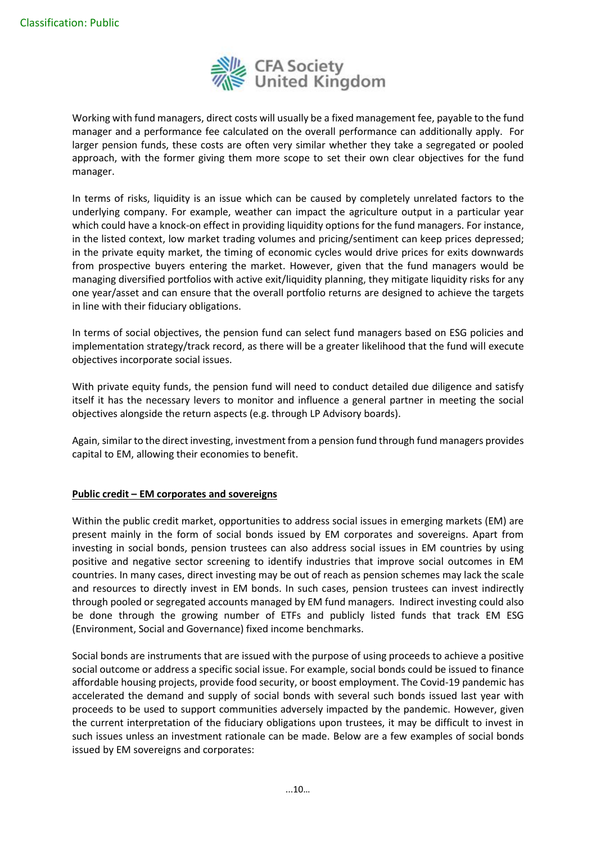

Working with fund managers, direct costs will usually be a fixed management fee, payable to the fund manager and a performance fee calculated on the overall performance can additionally apply. For larger pension funds, these costs are often very similar whether they take a segregated or pooled approach, with the former giving them more scope to set their own clear objectives for the fund manager.

In terms of risks, liquidity is an issue which can be caused by completely unrelated factors to the underlying company. For example, weather can impact the agriculture output in a particular year which could have a knock-on effect in providing liquidity options for the fund managers. For instance, in the listed context, low market trading volumes and pricing/sentiment can keep prices depressed; in the private equity market, the timing of economic cycles would drive prices for exits downwards from prospective buyers entering the market. However, given that the fund managers would be managing diversified portfolios with active exit/liquidity planning, they mitigate liquidity risks for any one year/asset and can ensure that the overall portfolio returns are designed to achieve the targets in line with their fiduciary obligations.

In terms of social objectives, the pension fund can select fund managers based on ESG policies and implementation strategy/track record, as there will be a greater likelihood that the fund will execute objectives incorporate social issues.

With private equity funds, the pension fund will need to conduct detailed due diligence and satisfy itself it has the necessary levers to monitor and influence a general partner in meeting the social objectives alongside the return aspects (e.g. through LP Advisory boards).

Again, similar to the direct investing, investment from a pension fund through fund managers provides capital to EM, allowing their economies to benefit.

#### **Public credit – EM corporates and sovereigns**

Within the public credit market, opportunities to address social issues in emerging markets (EM) are present mainly in the form of social bonds issued by EM corporates and sovereigns. Apart from investing in social bonds, pension trustees can also address social issues in EM countries by using positive and negative sector screening to identify industries that improve social outcomes in EM countries. In many cases, direct investing may be out of reach as pension schemes may lack the scale and resources to directly invest in EM bonds. In such cases, pension trustees can invest indirectly through pooled or segregated accounts managed by EM fund managers. Indirect investing could also be done through the growing number of ETFs and publicly listed funds that track EM ESG (Environment, Social and Governance) fixed income benchmarks.

Social bonds are instruments that are issued with the purpose of using proceeds to achieve a positive social outcome or address a specific social issue. For example, social bonds could be issued to finance affordable housing projects, provide food security, or boost employment. The Covid-19 pandemic has accelerated the demand and supply of social bonds with several such bonds issued last year with proceeds to be used to support communities adversely impacted by the pandemic. However, given the current interpretation of the fiduciary obligations upon trustees, it may be difficult to invest in such issues unless an investment rationale can be made. Below are a few examples of social bonds issued by EM sovereigns and corporates: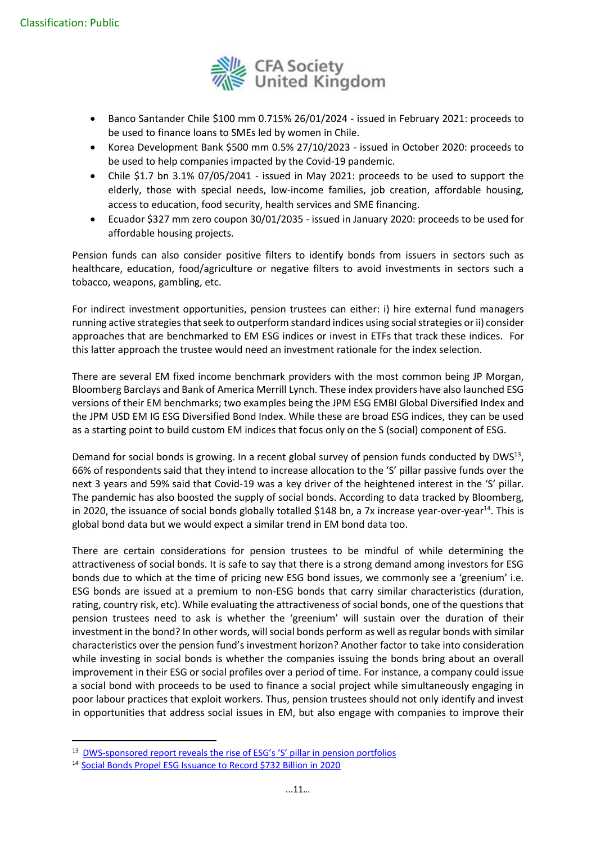

- Banco Santander Chile \$100 mm 0.715% 26/01/2024 issued in February 2021: proceeds to be used to finance loans to SMEs led by women in Chile.
- Korea Development Bank \$500 mm 0.5% 27/10/2023 issued in October 2020: proceeds to be used to help companies impacted by the Covid-19 pandemic.
- Chile \$1.7 bn 3.1% 07/05/2041 issued in May 2021: proceeds to be used to support the elderly, those with special needs, low-income families, job creation, affordable housing, access to education, food security, health services and SME financing.
- Ecuador \$327 mm zero coupon 30/01/2035 issued in January 2020: proceeds to be used for affordable housing projects.

Pension funds can also consider positive filters to identify bonds from issuers in sectors such as healthcare, education, food/agriculture or negative filters to avoid investments in sectors such a tobacco, weapons, gambling, etc.

For indirect investment opportunities, pension trustees can either: i) hire external fund managers running active strategiesthat seek to outperform standard indices using social strategies or ii) consider approaches that are benchmarked to EM ESG indices or invest in ETFs that track these indices. For this latter approach the trustee would need an investment rationale for the index selection.

There are several EM fixed income benchmark providers with the most common being JP Morgan, Bloomberg Barclays and Bank of America Merrill Lynch. These index providers have also launched ESG versions of their EM benchmarks; two examples being the JPM ESG EMBI Global Diversified Index and the JPM USD EM IG ESG Diversified Bond Index. While these are broad ESG indices, they can be used as a starting point to build custom EM indices that focus only on the S (social) component of ESG.

Demand for social bonds is growing. In a recent global survey of pension funds conducted by DWS<sup>13</sup>, 66% of respondents said that they intend to increase allocation to the 'S' pillar passive funds over the next 3 years and 59% said that Covid-19 was a key driver of the heightened interest in the 'S' pillar. The pandemic has also boosted the supply of social bonds. According to data tracked by Bloomberg, in 2020, the issuance of social bonds globally totalled \$148 bn, a 7x increase year-over-year<sup>14</sup>. This is global bond data but we would expect a similar trend in EM bond data too.

There are certain considerations for pension trustees to be mindful of while determining the attractiveness of social bonds. It is safe to say that there is a strong demand among investors for ESG bonds due to which at the time of pricing new ESG bond issues, we commonly see a 'greenium' i.e. ESG bonds are issued at a premium to non-ESG bonds that carry similar characteristics (duration, rating, country risk, etc). While evaluating the attractiveness of social bonds, one of the questions that pension trustees need to ask is whether the 'greenium' will sustain over the duration of their investment in the bond? In other words, will social bonds perform as well as regular bonds with similar characteristics over the pension fund's investment horizon? Another factor to take into consideration while investing in social bonds is whether the companies issuing the bonds bring about an overall improvement in their ESG or social profiles over a period of time. For instance, a company could issue a social bond with proceeds to be used to finance a social project while simultaneously engaging in poor labour practices that exploit workers. Thus, pension trustees should not only identify and invest in opportunities that address social issues in EM, but also engage with companies to improve their

<sup>&</sup>lt;sup>13</sup> DWS-sponsored repor[t reveals the rise of ESG's 'S' pillar in pension portfolios](about:blank)

<sup>14</sup> [Social Bonds Propel ESG Issuance to Record \\$732 Billion in 2020](about:blank)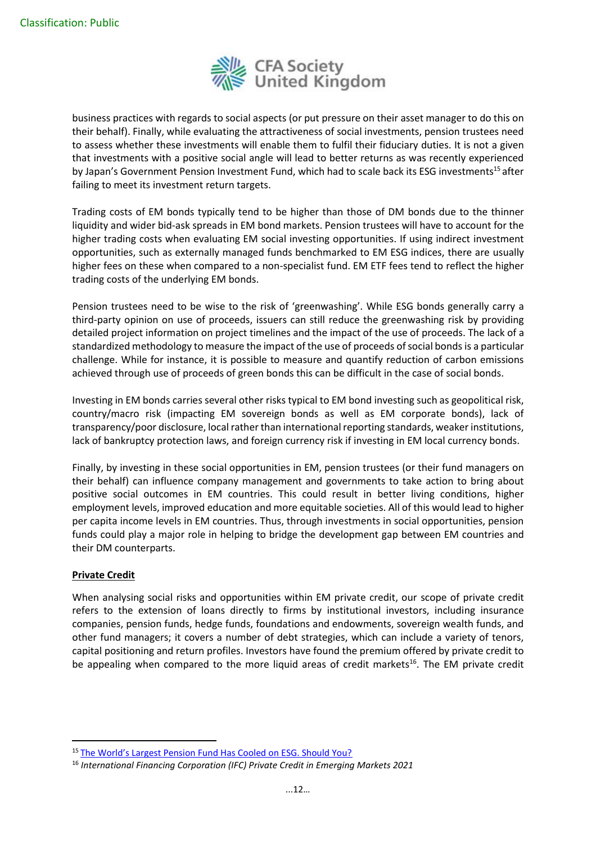

business practices with regards to social aspects (or put pressure on their asset manager to do this on their behalf). Finally, while evaluating the attractiveness of social investments, pension trustees need to assess whether these investments will enable them to fulfil their fiduciary duties. It is not a given that investments with a positive social angle will lead to better returns as was recently experienced by Japan's Government Pension Investment Fund, which had to scale back its ESG investments<sup>15</sup> after failing to meet its investment return targets.

Trading costs of EM bonds typically tend to be higher than those of DM bonds due to the thinner liquidity and wider bid-ask spreads in EM bond markets. Pension trustees will have to account for the higher trading costs when evaluating EM social investing opportunities. If using indirect investment opportunities, such as externally managed funds benchmarked to EM ESG indices, there are usually higher fees on these when compared to a non-specialist fund. EM ETF fees tend to reflect the higher trading costs of the underlying EM bonds.

Pension trustees need to be wise to the risk of 'greenwashing'. While ESG bonds generally carry a third-party opinion on use of proceeds, issuers can still reduce the greenwashing risk by providing detailed project information on project timelines and the impact of the use of proceeds. The lack of a standardized methodology to measure the impact of the use of proceeds of social bonds is a particular challenge. While for instance, it is possible to measure and quantify reduction of carbon emissions achieved through use of proceeds of green bonds this can be difficult in the case of social bonds.

Investing in EM bonds carries several other risks typical to EM bond investing such as geopolitical risk, country/macro risk (impacting EM sovereign bonds as well as EM corporate bonds), lack of transparency/poor disclosure, local rather than international reporting standards, weaker institutions, lack of bankruptcy protection laws, and foreign currency risk if investing in EM local currency bonds.

Finally, by investing in these social opportunities in EM, pension trustees (or their fund managers on their behalf) can influence company management and governments to take action to bring about positive social outcomes in EM countries. This could result in better living conditions, higher employment levels, improved education and more equitable societies. All of this would lead to higher per capita income levels in EM countries. Thus, through investments in social opportunities, pension funds could play a major role in helping to bridge the development gap between EM countries and their DM counterparts.

#### **Private Credit**

When analysing social risks and opportunities within EM private credit, our scope of private credit refers to the extension of loans directly to firms by institutional investors, including insurance companies, pension funds, hedge funds, foundations and endowments, sovereign wealth funds, and other fund managers; it covers a number of debt strategies, which can include a variety of tenors, capital positioning and return profiles. Investors have found the premium offered by private credit to be appealing when compared to the more liquid areas of credit markets<sup>16</sup>. The EM private credit

<sup>15</sup> [The World's Largest Pension Fund Has Cooled on ESG. Should You?](about:blank)

<sup>16</sup> *International Financing Corporation (IFC) Private Credit in Emerging Markets 2021*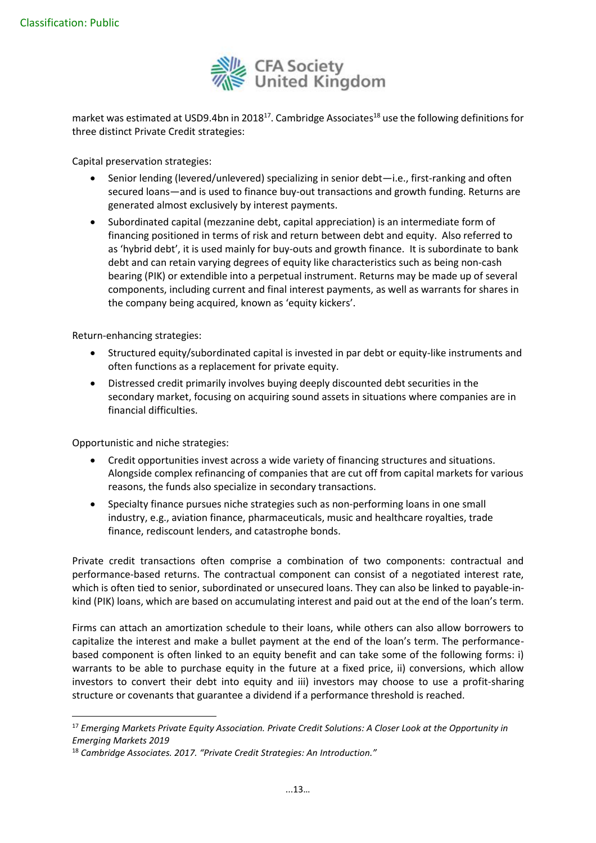

market was estimated at USD9.4bn in 2018<sup>17</sup>. Cambridge Associates<sup>18</sup> use the following definitions for three distinct Private Credit strategies:

Capital preservation strategies:

- Senior lending (levered/unlevered) specializing in senior debt—i.e., first-ranking and often secured loans—and is used to finance buy-out transactions and growth funding. Returns are generated almost exclusively by interest payments.
- Subordinated capital (mezzanine debt, capital appreciation) is an intermediate form of financing positioned in terms of risk and return between debt and equity. Also referred to as 'hybrid debt', it is used mainly for buy-outs and growth finance. It is subordinate to bank debt and can retain varying degrees of equity like characteristics such as being non-cash bearing (PIK) or extendible into a perpetual instrument. Returns may be made up of several components, including current and final interest payments, as well as warrants for shares in the company being acquired, known as 'equity kickers'.

Return-enhancing strategies:

- Structured equity/subordinated capital is invested in par debt or equity-like instruments and often functions as a replacement for private equity.
- Distressed credit primarily involves buying deeply discounted debt securities in the secondary market, focusing on acquiring sound assets in situations where companies are in financial difficulties.

Opportunistic and niche strategies:

- Credit opportunities invest across a wide variety of financing structures and situations. Alongside complex refinancing of companies that are cut off from capital markets for various reasons, the funds also specialize in secondary transactions.
- Specialty finance pursues niche strategies such as non-performing loans in one small industry, e.g., aviation finance, pharmaceuticals, music and healthcare royalties, trade finance, rediscount lenders, and catastrophe bonds.

Private credit transactions often comprise a combination of two components: contractual and performance-based returns. The contractual component can consist of a negotiated interest rate, which is often tied to senior, subordinated or unsecured loans. They can also be linked to payable-inkind (PIK) loans, which are based on accumulating interest and paid out at the end of the loan's term.

Firms can attach an amortization schedule to their loans, while others can also allow borrowers to capitalize the interest and make a bullet payment at the end of the loan's term. The performancebased component is often linked to an equity benefit and can take some of the following forms: i) warrants to be able to purchase equity in the future at a fixed price, ii) conversions, which allow investors to convert their debt into equity and iii) investors may choose to use a profit-sharing structure or covenants that guarantee a dividend if a performance threshold is reached.

<sup>17</sup> *Emerging Markets Private Equity Association. Private Credit Solutions: A Closer Look at the Opportunity in Emerging Markets 2019*

<sup>18</sup> *Cambridge Associates. 2017. "Private Credit Strategies: An Introduction."*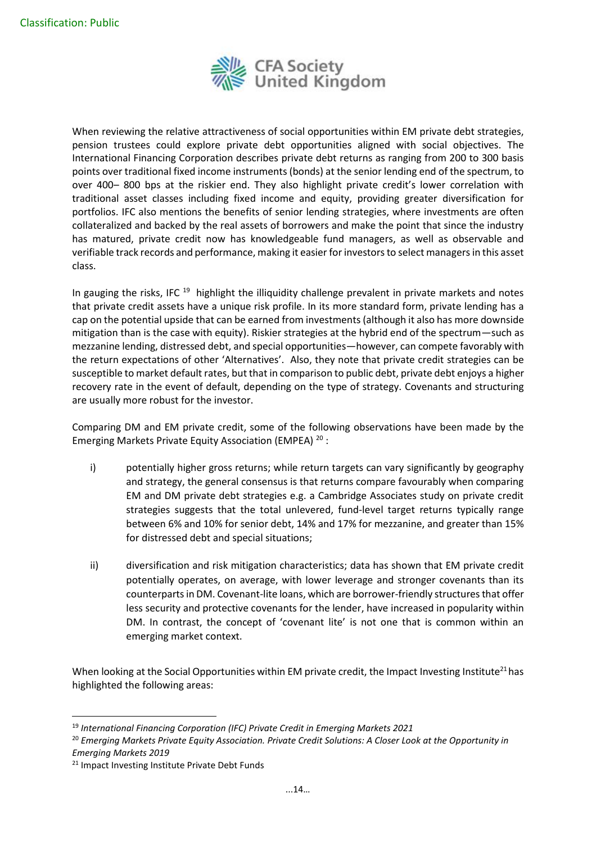

When reviewing the relative attractiveness of social opportunities within EM private debt strategies, pension trustees could explore private debt opportunities aligned with social objectives. The International Financing Corporation describes private debt returns as ranging from 200 to 300 basis points over traditional fixed income instruments (bonds) at the senior lending end of the spectrum, to over 400– 800 bps at the riskier end. They also highlight private credit's lower correlation with traditional asset classes including fixed income and equity, providing greater diversification for portfolios. IFC also mentions the benefits of senior lending strategies, where investments are often collateralized and backed by the real assets of borrowers and make the point that since the industry has matured, private credit now has knowledgeable fund managers, as well as observable and verifiable track records and performance, making it easier for investors to select managers in this asset class.

In gauging the risks, IFC <sup>19</sup> highlight the illiquidity challenge prevalent in private markets and notes that private credit assets have a unique risk profile. In its more standard form, private lending has a cap on the potential upside that can be earned from investments (although it also has more downside mitigation than is the case with equity). Riskier strategies at the hybrid end of the spectrum—such as mezzanine lending, distressed debt, and special opportunities—however, can compete favorably with the return expectations of other 'Alternatives'. Also, they note that private credit strategies can be susceptible to market default rates, but that in comparison to public debt, private debt enjoys a higher recovery rate in the event of default, depending on the type of strategy. Covenants and structuring are usually more robust for the investor.

Comparing DM and EM private credit, some of the following observations have been made by the Emerging Markets Private Equity Association (EMPEA)<sup>20</sup>:

- i) potentially higher gross returns; while return targets can vary significantly by geography and strategy, the general consensus is that returns compare favourably when comparing EM and DM private debt strategies e.g. a Cambridge Associates study on private credit strategies suggests that the total unlevered, fund-level target returns typically range between 6% and 10% for senior debt, 14% and 17% for mezzanine, and greater than 15% for distressed debt and special situations;
- ii) diversification and risk mitigation characteristics; data has shown that EM private credit potentially operates, on average, with lower leverage and stronger covenants than its counterparts in DM. Covenant-lite loans, which are borrower-friendly structures that offer less security and protective covenants for the lender, have increased in popularity within DM. In contrast, the concept of 'covenant lite' is not one that is common within an emerging market context.

When looking at the Social Opportunities within EM private credit, the Impact Investing Institute<sup>21</sup> has highlighted the following areas:

<sup>19</sup> *International Financing Corporation (IFC) Private Credit in Emerging Markets 2021*

<sup>20</sup> *Emerging Markets Private Equity Association. Private Credit Solutions: A Closer Look at the Opportunity in Emerging Markets 2019*

<sup>&</sup>lt;sup>21</sup> Impact Investing Institute Private Debt Funds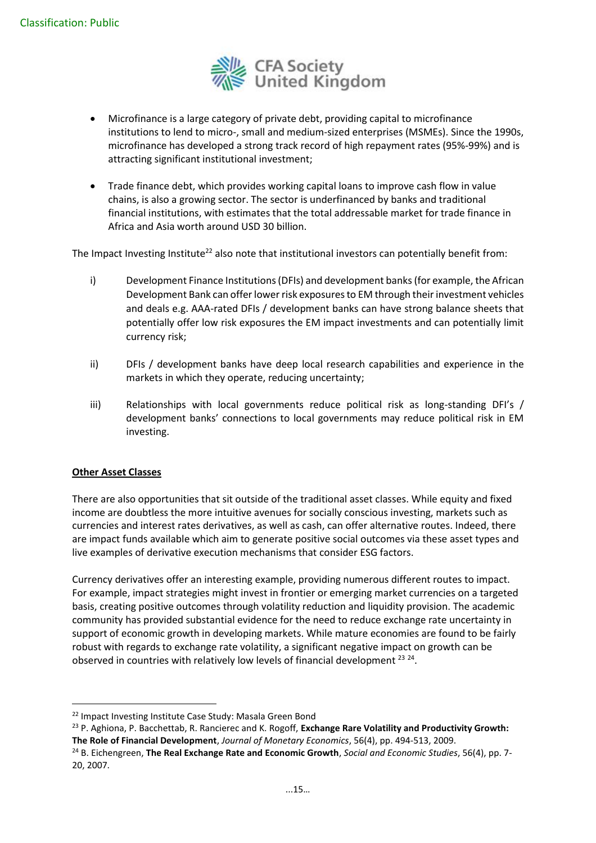

- Microfinance is a large category of private debt, providing capital to microfinance institutions to lend to micro-, small and medium-sized enterprises (MSMEs). Since the 1990s, microfinance has developed a strong track record of high repayment rates (95%-99%) and is attracting significant institutional investment;
- Trade finance debt, which provides working capital loans to improve cash flow in value chains, is also a growing sector. The sector is underfinanced by banks and traditional financial institutions, with estimates that the total addressable market for trade finance in Africa and Asia worth around USD 30 billion.

The Impact Investing Institute<sup>22</sup> also note that institutional investors can potentially benefit from:

- i) Development Finance Institutions (DFIs) and development banks (for example, the African Development Bank can offer lower risk exposures to EM through their investment vehicles and deals e.g. AAA-rated DFIs / development banks can have strong balance sheets that potentially offer low risk exposures the EM impact investments and can potentially limit currency risk;
- ii) DFIs / development banks have deep local research capabilities and experience in the markets in which they operate, reducing uncertainty;
- iii) Relationships with local governments reduce political risk as long-standing DFI's / development banks' connections to local governments may reduce political risk in EM investing.

# **Other Asset Classes**

There are also opportunities that sit outside of the traditional asset classes. While equity and fixed income are doubtless the more intuitive avenues for socially conscious investing, markets such as currencies and interest rates derivatives, as well as cash, can offer alternative routes. Indeed, there are impact funds available which aim to generate positive social outcomes via these asset types and live examples of derivative execution mechanisms that consider ESG factors.

Currency derivatives offer an interesting example, providing numerous different routes to impact. For example, impact strategies might invest in frontier or emerging market currencies on a targeted basis, creating positive outcomes through volatility reduction and liquidity provision. The academic community has provided substantial evidence for the need to reduce exchange rate uncertainty in support of economic growth in developing markets. While mature economies are found to be fairly robust with regards to exchange rate volatility, a significant negative impact on growth can be observed in countries with relatively low levels of financial development  $^{23}$   $^{24}$ .

<sup>&</sup>lt;sup>22</sup> Impact Investing Institute Case Study: Masala Green Bond

<sup>23</sup> P. Aghiona, P. Bacchettab, R. Rancierec and K. Rogoff, **Exchange Rare Volatility and Productivity Growth: The Role of Financial Development**, *Journal of Monetary Economics*, 56(4), pp. 494-513, 2009.

<sup>24</sup> B. Eichengreen, **The Real Exchange Rate and Economic Growth**, *Social and Economic Studies*, 56(4), pp. 7- 20, 2007.